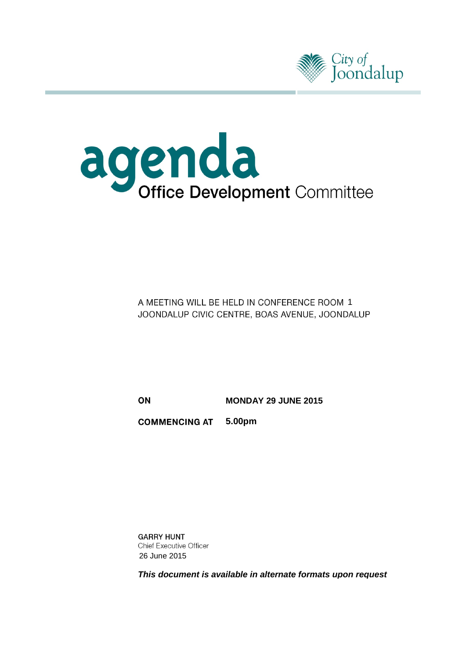



A MEETING WILL BE HELD IN CONFERENCE ROOM 1 JOONDALUP CIVIC CENTRE, BOAS AVENUE, JOONDALUP

ON

**MONDAY 29 JUNE 2015**

**COMMENCING AT 5.00pm**

**GARRY HUNT Chief Executive Officer** 26 June 2015

*This document is available in alternate formats upon request*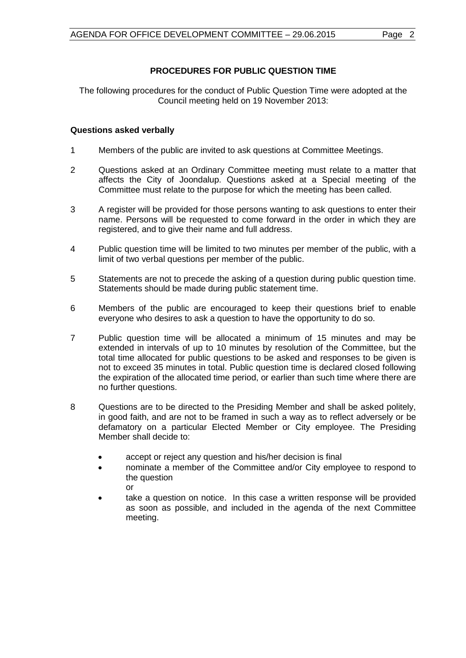### **PROCEDURES FOR PUBLIC QUESTION TIME**

The following procedures for the conduct of Public Question Time were adopted at the Council meeting held on 19 November 2013:

#### **Questions asked verbally**

- 1 Members of the public are invited to ask questions at Committee Meetings.
- 2 Questions asked at an Ordinary Committee meeting must relate to a matter that affects the City of Joondalup. Questions asked at a Special meeting of the Committee must relate to the purpose for which the meeting has been called.
- 3 A register will be provided for those persons wanting to ask questions to enter their name. Persons will be requested to come forward in the order in which they are registered, and to give their name and full address.
- 4 Public question time will be limited to two minutes per member of the public, with a limit of two verbal questions per member of the public.
- 5 Statements are not to precede the asking of a question during public question time. Statements should be made during public statement time.
- 6 Members of the public are encouraged to keep their questions brief to enable everyone who desires to ask a question to have the opportunity to do so.
- 7 Public question time will be allocated a minimum of 15 minutes and may be extended in intervals of up to 10 minutes by resolution of the Committee, but the total time allocated for public questions to be asked and responses to be given is not to exceed 35 minutes in total. Public question time is declared closed following the expiration of the allocated time period, or earlier than such time where there are no further questions.
- 8 Questions are to be directed to the Presiding Member and shall be asked politely, in good faith, and are not to be framed in such a way as to reflect adversely or be defamatory on a particular Elected Member or City employee. The Presiding Member shall decide to:
	- accept or reject any question and his/her decision is final
	- nominate a member of the Committee and/or City employee to respond to the question or
	- take a question on notice. In this case a written response will be provided as soon as possible, and included in the agenda of the next Committee meeting.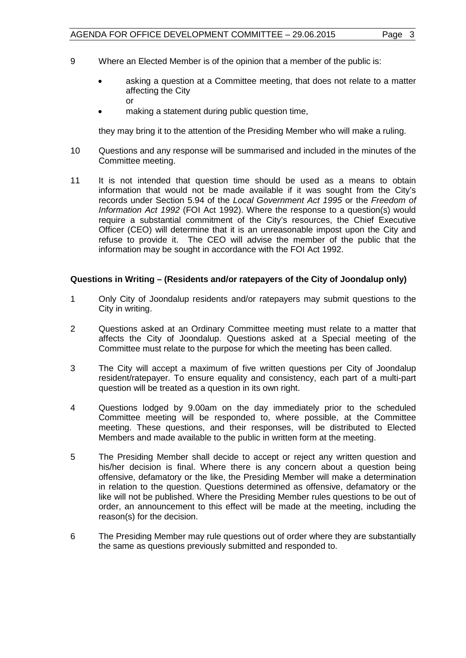- 9 Where an Elected Member is of the opinion that a member of the public is:
	- asking a question at a Committee meeting, that does not relate to a matter affecting the City or
	- making a statement during public question time,

they may bring it to the attention of the Presiding Member who will make a ruling.

- 10 Questions and any response will be summarised and included in the minutes of the Committee meeting.
- 11 It is not intended that question time should be used as a means to obtain information that would not be made available if it was sought from the City's records under Section 5.94 of the *Local Government Act 1995* or the *Freedom of Information Act 1992* (FOI Act 1992). Where the response to a question(s) would require a substantial commitment of the City's resources, the Chief Executive Officer (CEO) will determine that it is an unreasonable impost upon the City and refuse to provide it. The CEO will advise the member of the public that the information may be sought in accordance with the FOI Act 1992.

#### **Questions in Writing – (Residents and/or ratepayers of the City of Joondalup only)**

- 1 Only City of Joondalup residents and/or ratepayers may submit questions to the City in writing.
- 2 Questions asked at an Ordinary Committee meeting must relate to a matter that affects the City of Joondalup. Questions asked at a Special meeting of the Committee must relate to the purpose for which the meeting has been called.
- 3 The City will accept a maximum of five written questions per City of Joondalup resident/ratepayer. To ensure equality and consistency, each part of a multi-part question will be treated as a question in its own right.
- 4 Questions lodged by 9.00am on the day immediately prior to the scheduled Committee meeting will be responded to, where possible, at the Committee meeting. These questions, and their responses, will be distributed to Elected Members and made available to the public in written form at the meeting.
- 5 The Presiding Member shall decide to accept or reject any written question and his/her decision is final. Where there is any concern about a question being offensive, defamatory or the like, the Presiding Member will make a determination in relation to the question. Questions determined as offensive, defamatory or the like will not be published. Where the Presiding Member rules questions to be out of order, an announcement to this effect will be made at the meeting, including the reason(s) for the decision.
- 6 The Presiding Member may rule questions out of order where they are substantially the same as questions previously submitted and responded to.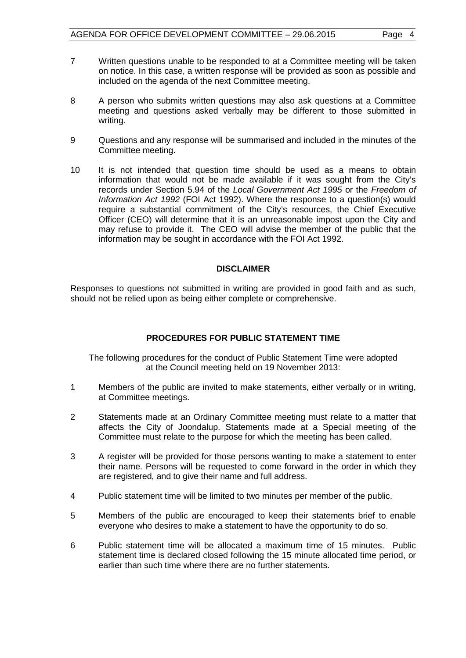- 7 Written questions unable to be responded to at a Committee meeting will be taken on notice. In this case, a written response will be provided as soon as possible and included on the agenda of the next Committee meeting.
- 8 A person who submits written questions may also ask questions at a Committee meeting and questions asked verbally may be different to those submitted in writing.
- 9 Questions and any response will be summarised and included in the minutes of the Committee meeting.
- 10 It is not intended that question time should be used as a means to obtain information that would not be made available if it was sought from the City's records under Section 5.94 of the *Local Government Act 1995* or the *Freedom of Information Act 1992* (FOI Act 1992). Where the response to a question(s) would require a substantial commitment of the City's resources, the Chief Executive Officer (CEO) will determine that it is an unreasonable impost upon the City and may refuse to provide it. The CEO will advise the member of the public that the information may be sought in accordance with the FOI Act 1992.

#### **DISCLAIMER**

Responses to questions not submitted in writing are provided in good faith and as such, should not be relied upon as being either complete or comprehensive.

#### **PROCEDURES FOR PUBLIC STATEMENT TIME**

The following procedures for the conduct of Public Statement Time were adopted at the Council meeting held on 19 November 2013:

- 1 Members of the public are invited to make statements, either verbally or in writing, at Committee meetings.
- 2 Statements made at an Ordinary Committee meeting must relate to a matter that affects the City of Joondalup. Statements made at a Special meeting of the Committee must relate to the purpose for which the meeting has been called.
- 3 A register will be provided for those persons wanting to make a statement to enter their name. Persons will be requested to come forward in the order in which they are registered, and to give their name and full address.
- 4 Public statement time will be limited to two minutes per member of the public.
- 5 Members of the public are encouraged to keep their statements brief to enable everyone who desires to make a statement to have the opportunity to do so.
- 6 Public statement time will be allocated a maximum time of 15 minutes. Public statement time is declared closed following the 15 minute allocated time period, or earlier than such time where there are no further statements.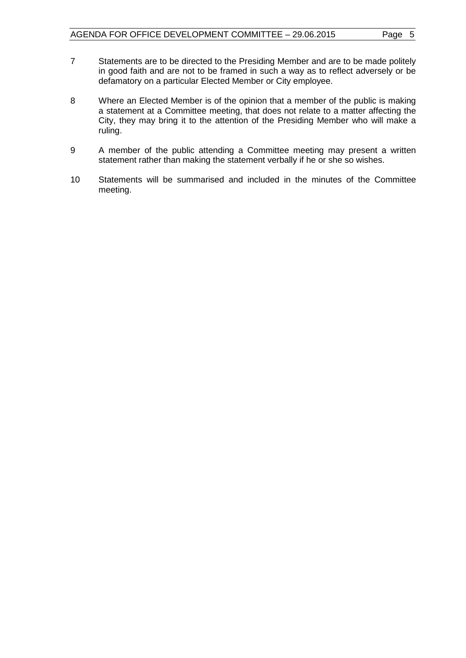- 7 Statements are to be directed to the Presiding Member and are to be made politely in good faith and are not to be framed in such a way as to reflect adversely or be defamatory on a particular Elected Member or City employee.
- 8 Where an Elected Member is of the opinion that a member of the public is making a statement at a Committee meeting, that does not relate to a matter affecting the City, they may bring it to the attention of the Presiding Member who will make a ruling.
- 9 A member of the public attending a Committee meeting may present a written statement rather than making the statement verbally if he or she so wishes.
- 10 Statements will be summarised and included in the minutes of the Committee meeting.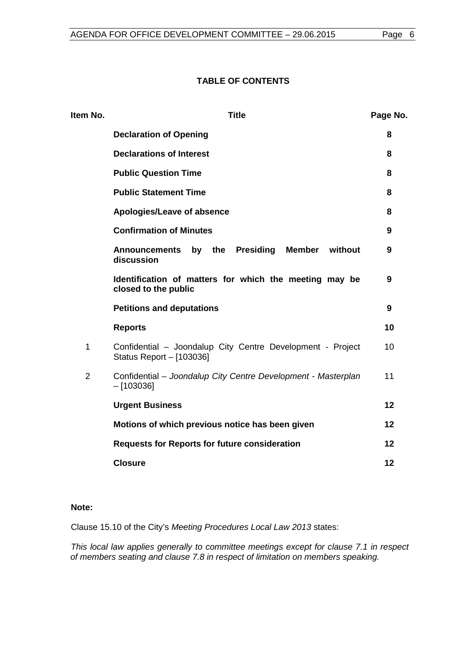#### **TABLE OF CONTENTS**

| Item No.       | <b>Title</b>                                                                           | Page No. |  |  |
|----------------|----------------------------------------------------------------------------------------|----------|--|--|
|                | <b>Declaration of Opening</b>                                                          | 8        |  |  |
|                | <b>Declarations of Interest</b>                                                        | 8        |  |  |
|                | <b>Public Question Time</b>                                                            | 8        |  |  |
|                | <b>Public Statement Time</b>                                                           |          |  |  |
|                | Apologies/Leave of absence                                                             | 8        |  |  |
|                | <b>Confirmation of Minutes</b>                                                         | 9        |  |  |
|                | Member without<br>by the<br>Presiding<br><b>Announcements</b><br>discussion            | 9        |  |  |
|                | Identification of matters for which the meeting may be<br>closed to the public         | 9        |  |  |
|                | <b>Petitions and deputations</b>                                                       | 9        |  |  |
|                | <b>Reports</b>                                                                         | 10       |  |  |
| 1              | Confidential - Joondalup City Centre Development - Project<br>Status Report - [103036] | 10       |  |  |
| $\overline{2}$ | Confidential - Joondalup City Centre Development - Masterplan<br>$-[103036]$           | 11       |  |  |
|                | <b>Urgent Business</b>                                                                 | 12       |  |  |
|                | Motions of which previous notice has been given                                        | 12       |  |  |
|                | <b>Requests for Reports for future consideration</b>                                   | 12       |  |  |
|                | <b>Closure</b>                                                                         | 12       |  |  |

#### **Note:**

Clause 15.10 of the City's *Meeting Procedures Local Law 2013* states:

*This local law applies generally to committee meetings except for clause 7.1 in respect of members seating and clause 7.8 in respect of limitation on members speaking.*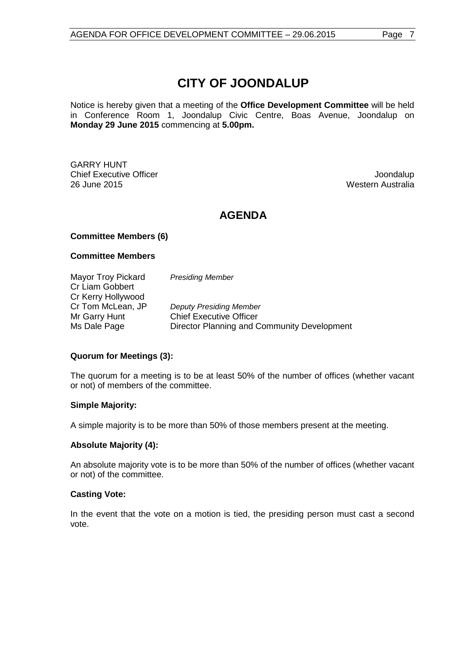# **CITY OF JOONDALUP**

Notice is hereby given that a meeting of the **Office Development Committee** will be held in Conference Room 1, Joondalup Civic Centre, Boas Avenue, Joondalup on **Monday 29 June 2015** commencing at **5.00pm.**

GARRY HUNT **Chief Executive Officer Joseph According to the Chief Executive Officer Joseph According to the Chief According to the Chief According to the Chief According to the Chief According to the Chief According to the Chief Acco** 26 June 2015 Western Australia

# **AGENDA**

#### **Committee Members (6)**

#### **Committee Members**

Mayor Troy Pickard *Presiding Member* Cr Liam Gobbert Cr Kerry Hollywood<br>Cr Tom McLean, JP **Deputy Presiding Member** Mr Garry Hunt Chief Executive Officer Ms Dale Page **Director Planning and Community Development** 

#### **Quorum for Meetings (3):**

The quorum for a meeting is to be at least 50% of the number of offices (whether vacant or not) of members of the committee.

#### **Simple Majority:**

A simple majority is to be more than 50% of those members present at the meeting.

#### **Absolute Majority (4):**

An absolute majority vote is to be more than 50% of the number of offices (whether vacant or not) of the committee.

#### **Casting Vote:**

In the event that the vote on a motion is tied, the presiding person must cast a second vote.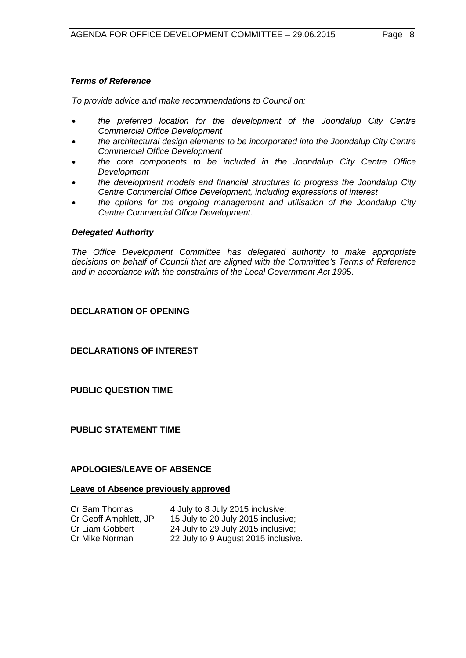*To provide advice and make recommendations to Council on:*

- *the preferred location for the development of the Joondalup City Centre Commercial Office Development*
- *the architectural design elements to be incorporated into the Joondalup City Centre Commercial Office Development*
- *the core components to be included in the Joondalup City Centre Office Development*
- *the development models and financial structures to progress the Joondalup City Centre Commercial Office Development, including expressions of interest*
- *the options for the ongoing management and utilisation of the Joondalup City Centre Commercial Office Development.*

#### *Delegated Authority*

*The Office Development Committee has delegated authority to make appropriate decisions on behalf of Council that are aligned with the Committee's Terms of Reference and in accordance with the constraints of the Local Government Act 199*5.

#### <span id="page-7-0"></span>**DECLARATION OF OPENING**

<span id="page-7-1"></span>**DECLARATIONS OF INTEREST**

#### <span id="page-7-2"></span>**PUBLIC QUESTION TIME**

#### <span id="page-7-3"></span>**PUBLIC STATEMENT TIME**

#### <span id="page-7-4"></span>**APOLOGIES/LEAVE OF ABSENCE**

#### **Leave of Absence previously approved**

| Cr Sam Thomas         | 4 July to 8 July 2015 inclusive;    |
|-----------------------|-------------------------------------|
| Cr Geoff Amphlett, JP | 15 July to 20 July 2015 inclusive;  |
| Cr Liam Gobbert       | 24 July to 29 July 2015 inclusive;  |
| Cr Mike Norman        | 22 July to 9 August 2015 inclusive. |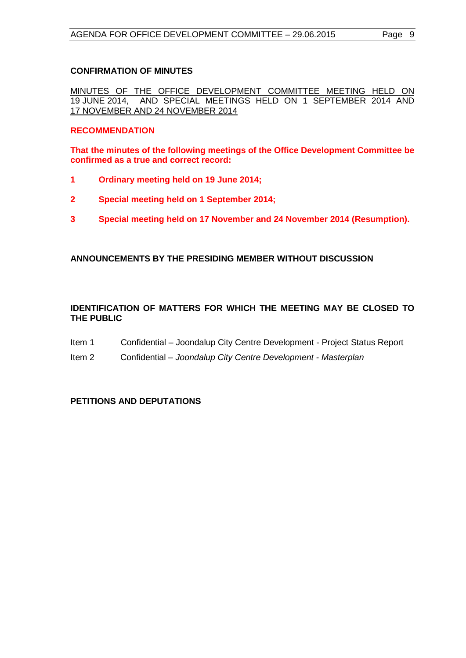#### <span id="page-8-0"></span>**CONFIRMATION OF MINUTES**

MINUTES OF THE OFFICE DEVELOPMENT COMMITTEE MEETING HELD ON 1 SUNCE 2014 AND AND SPECIAL MEETINGS HELD ON 1 SEPTEMBER 2014 AND 17 NOVEMBER AND 24 NOVEMBER 2014

#### **RECOMMENDATION**

**That the minutes of the following meetings of the Office Development Committee be confirmed as a true and correct record:**

- **1 Ordinary meeting held on 19 June 2014;**
- **2 Special meeting held on 1 September 2014;**
- **3 Special meeting held on 17 November and 24 November 2014 (Resumption).**

#### <span id="page-8-1"></span>**ANNOUNCEMENTS BY THE PRESIDING MEMBER WITHOUT DISCUSSION**

#### <span id="page-8-2"></span>**IDENTIFICATION OF MATTERS FOR WHICH THE MEETING MAY BE CLOSED TO THE PUBLIC**

- Item 1 Confidential Joondalup City Centre Development Project Status Report
- Item 2 Confidential *Joondalup City Centre Development - Masterplan*

#### <span id="page-8-3"></span>**PETITIONS AND DEPUTATIONS**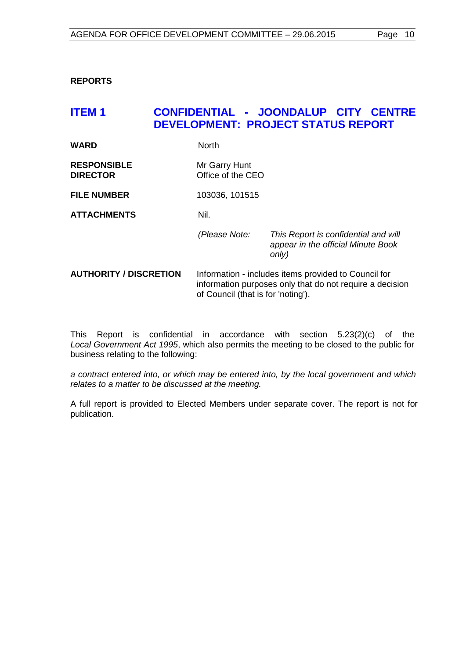#### <span id="page-9-0"></span>**REPORTS**

## <span id="page-9-1"></span>**ITEM 1 CONFIDENTIAL - JOONDALUP CITY CENTRE DEVELOPMENT: PROJECT STATUS REPORT**

| <b>WARD</b>                           | <b>North</b>                                                                                                                                           |                                                                                     |
|---------------------------------------|--------------------------------------------------------------------------------------------------------------------------------------------------------|-------------------------------------------------------------------------------------|
| <b>RESPONSIBLE</b><br><b>DIRECTOR</b> | Mr Garry Hunt<br>Office of the CEO                                                                                                                     |                                                                                     |
| <b>FILE NUMBER</b>                    | 103036, 101515                                                                                                                                         |                                                                                     |
| <b>ATTACHMENTS</b>                    | Nil.                                                                                                                                                   |                                                                                     |
|                                       | (Please Note:                                                                                                                                          | This Report is confidential and will<br>appear in the official Minute Book<br>only) |
| <b>AUTHORITY / DISCRETION</b>         | Information - includes items provided to Council for<br>information purposes only that do not require a decision<br>of Council (that is for 'noting'). |                                                                                     |

This Report is confidential in accordance with section 5.23(2)(c) of the *Local Government Act 1995*, which also permits the meeting to be closed to the public for business relating to the following:

*a contract entered into, or which may be entered into, by the local government and which relates to a matter to be discussed at the meeting.*

A full report is provided to Elected Members under separate cover. The report is not for publication.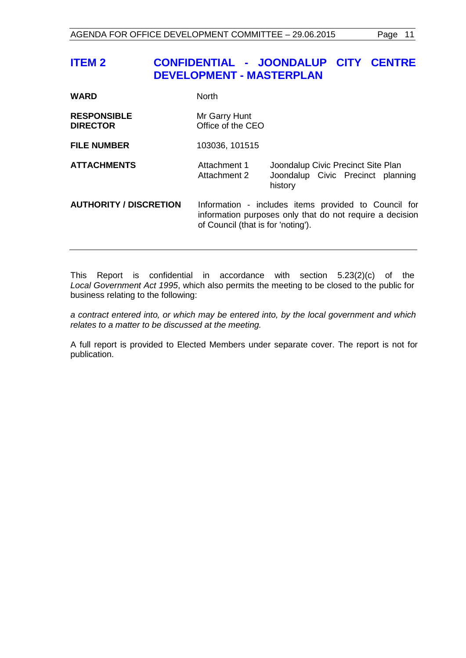# <span id="page-10-0"></span>**ITEM 2 CONFIDENTIAL - JOONDALUP CITY CENTRE DEVELOPMENT - MASTERPLAN**

| <b>WARD</b>                           | <b>North</b>                                                                                                                                           |                                                                                    |  |
|---------------------------------------|--------------------------------------------------------------------------------------------------------------------------------------------------------|------------------------------------------------------------------------------------|--|
| <b>RESPONSIBLE</b><br><b>DIRECTOR</b> | Mr Garry Hunt<br>Office of the CEO                                                                                                                     |                                                                                    |  |
| <b>FILE NUMBER</b>                    | 103036, 101515                                                                                                                                         |                                                                                    |  |
| <b>ATTACHMENTS</b>                    | Attachment 1<br>Attachment 2                                                                                                                           | Joondalup Civic Precinct Site Plan<br>Joondalup Civic Precinct planning<br>history |  |
| <b>AUTHORITY / DISCRETION</b>         | Information - includes items provided to Council for<br>information purposes only that do not require a decision<br>of Council (that is for 'noting'). |                                                                                    |  |

This Report is confidential in accordance with section 5.23(2)(c) of the *Local Government Act 1995*, which also permits the meeting to be closed to the public for business relating to the following:

*a contract entered into, or which may be entered into, by the local government and which relates to a matter to be discussed at the meeting.*

A full report is provided to Elected Members under separate cover. The report is not for publication.